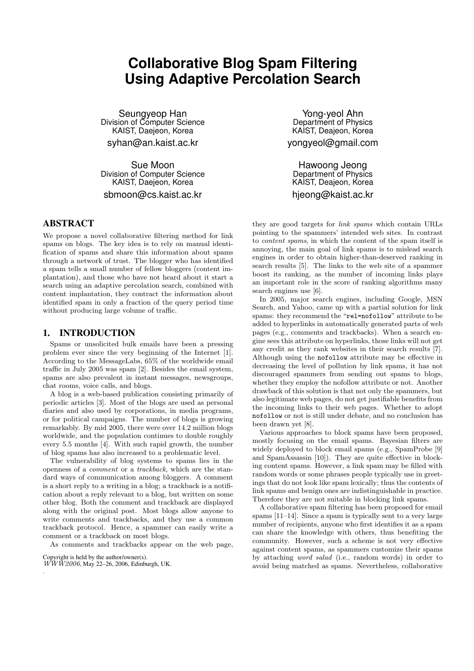# **Collaborative Blog Spam Filtering Using Adaptive Percolation Search**

Seungyeop Han Division of Computer Science KAIST, Daejeon, Korea syhan@an.kaist.ac.kr

Sue Moon Division of Computer Science KAIST, Daejeon, Korea

sbmoon@cs.kaist.ac.kr

# **ABSTRACT**

We propose a novel collaborative filtering method for link spams on blogs. The key idea is to rely on manual identification of spams and share this information about spams through a network of trust. The blogger who has identified a spam tells a small number of fellow bloggers (content implantation), and those who have not heard about it start a search using an adaptive percolation search, combined with content implantation, they contract the information about identified spam in only a fraction of the query period time without producing large volume of traffic.

# **1. INTRODUCTION**

Spams or unsolicited bulk emails have been a pressing problem ever since the very beginning of the Internet [1]. According to the MessageLabs, 65% of the worldwide email traffic in July 2005 was spam [2]. Besides the email system, spams are also prevalent in instant messages, newsgroups, chat rooms, voice calls, and blogs.

A blog is a web-based publication consisting primarily of periodic articles [3]. Most of the blogs are used as personal diaries and also used by corporations, in media programs, or for political campaigns. The number of blogs is growing remarkably. By mid 2005, there were over 14.2 million blogs worldwide, and the population continues to double roughly every 5.5 months [4]. With such rapid growth, the number of blog spams has also increased to a problematic level.

The vulnerability of blog systems to spams lies in the openness of a comment or a trackback, which are the standard ways of communication among bloggers. A comment is a short reply to a writing in a blog; a trackback is a notification about a reply relevant to a blog, but written on some other blog. Both the comment and trackback are displayed along with the original post. Most blogs allow anyone to write comments and trackbacks, and they use a common trackback protocol. Hence, a spammer can easily write a comment or a trackback on most blogs.

As comments and trackbacks appear on the web page,

Copyright is held by the author/owner(s).  $W\overline{W}W2006$ , May 22–26, 2006, Edinburgh, UK.

.

Yong-yeol Ahn Department of Physics KAIST, Deajeon, Korea yongyeol@gmail.com

Hawoong Jeong Department of Physics KAIST, Deajeon, Korea hjeong@kaist.ac.kr

they are good targets for link spams which contain URLs pointing to the spammers' intended web sites. In contrast to content spams, in which the content of the spam itself is annoying, the main goal of link spams is to mislead search engines in order to obtain higher-than-deserved ranking in search results [5]. The links to the web site of a spammer boost its ranking, as the number of incoming links plays an important role in the score of ranking algorithms many search engines use [6].

In 2005, major search engines, including Google, MSN Search, and Yahoo, came up with a partial solution for link spams: they recommend the "rel=nofollow" attribute to be added to hyperlinks in automatically generated parts of web pages (e.g., comments and trackbacks). When a search engine sees this attribute on hyperlinks, those links will not get any credit as they rank websites in their search results [7]. Although using the nofollow attribute may be effective in decreasing the level of pollution by link spams, it has not discouraged spammers from sending out spams to blogs, whether they employ the nofollow attribute or not. Another drawback of this solution is that not only the spammers, but also legitimate web pages, do not get justifiable benefits from the incoming links to their web pages. Whether to adopt nofollow or not is still under debate, and no conclusion has been drawn yet [8].

Various approaches to block spams have been proposed, mostly focusing on the email spams. Bayesian filters are widely deployed to block email spams (e.g., SpamProbe [9] and SpamAssassin [10]). They are quite effective in blocking content spams. However, a link spam may be filled with random words or some phrases people typically use in greetings that do not look like spam lexically; thus the contents of link spams and benign ones are indistinguishable in practice. Therefore they are not suitable in blocking link spams.

A collaborative spam filtering has been proposed for email spams [11–14]. Since a spam is typically sent to a very large number of recipients, anyone who first identifies it as a spam can share the knowledge with others, thus benefiting the community. However, such a scheme is not very effective against content spams, as spammers customize their spams by attaching word salad (i.e., random words) in order to avoid being matched as spams. Nevertheless, collaborative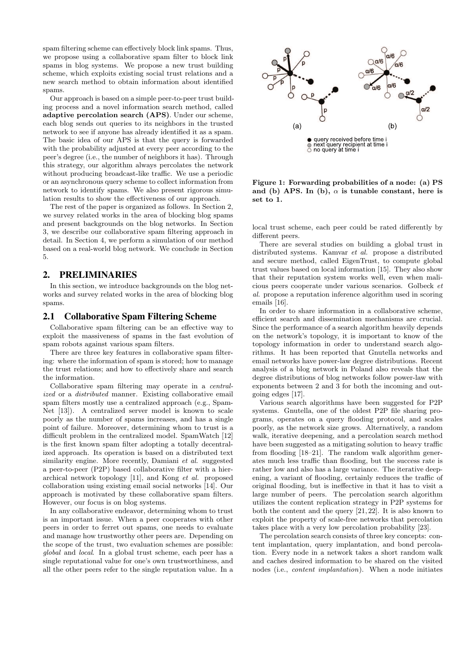spam filtering scheme can effectively block link spams. Thus, we propose using a collaborative spam filter to block link spams in blog systems. We propose a new trust building scheme, which exploits existing social trust relations and a new search method to obtain information about identified spams.

Our approach is based on a simple peer-to-peer trust building process and a novel information search method, called adaptive percolation search (APS). Under our scheme, each blog sends out queries to its neighbors in the trusted network to see if anyone has already identified it as a spam. The basic idea of our APS is that the query is forwarded with the probability adjusted at every peer according to the peer's degree (i.e., the number of neighbors it has). Through this strategy, our algorithm always percolates the network without producing broadcast-like traffic. We use a periodic or an asynchronous query scheme to collect information from network to identify spams. We also present rigorous simulation results to show the effectiveness of our approach.

The rest of the paper is organized as follows. In Section 2, we survey related works in the area of blocking blog spams and present backgrounds on the blog networks. In Section 3, we describe our collaborative spam filtering approach in detail. In Section 4, we perform a simulation of our method based on a real-world blog network. We conclude in Section 5.

## **2. PRELIMINARIES**

In this section, we introduce backgrounds on the blog networks and survey related works in the area of blocking blog spams.

## **2.1 Collaborative Spam Filtering Scheme**

Collaborative spam filtering can be an effective way to exploit the massiveness of spams in the fast evolution of spam robots against various spam filters.

There are three key features in collaborative spam filtering: where the information of spam is stored; how to manage the trust relations; and how to effectively share and search the information.

Collaborative spam filtering may operate in a centralized or a distributed manner. Existing collaborative email spam filters mostly use a centralized approach (e.g., Spam-Net [13]). A centralized server model is known to scale poorly as the number of spams increases, and has a single point of failure. Moreover, determining whom to trust is a difficult problem in the centralized model. SpamWatch [12] is the first known spam filter adopting a totally decentralized approach. Its operation is based on a distributed text similarity engine. More recently, Damiani et al. suggested a peer-to-peer (P2P) based collaborative filter with a hierarchical network topology [11], and Kong et al. proposed collaboration using existing email social networks [14]. Our approach is motivated by these collaborative spam filters. However, our focus is on blog systems.

In any collaborative endeavor, determining whom to trust is an important issue. When a peer cooperates with other peers in order to ferret out spams, one needs to evaluate and manage how trustworthy other peers are. Depending on the scope of the trust, two evaluation schemes are possible: global and local. In a global trust scheme, each peer has a single reputational value for one's own trustworthiness, and all the other peers refer to the single reputation value. In a



Figure 1: Forwarding probabilities of a node: (a) PS and (b) APS. In (b),  $\alpha$  is tunable constant, here is set to 1.

local trust scheme, each peer could be rated differently by different peers.

There are several studies on building a global trust in distributed systems. Kamvar et al. propose a distributed and secure method, called EigenTrust, to compute global trust values based on local information [15]. They also show that their reputation system works well, even when malicious peers cooperate under various scenarios. Golbeck et al. propose a reputation inference algorithm used in scoring emails [16].

In order to share information in a collaborative scheme, efficient search and dissemination mechanisms are crucial. Since the performance of a search algorithm heavily depends on the network's topology, it is important to know of the topology information in order to understand search algorithms. It has been reported that Gnutella networks and email networks have power-law degree distributions. Recent analysis of a blog network in Poland also reveals that the degree distributions of blog networks follow power-law with exponents between 2 and 3 for both the incoming and outgoing edges [17].

Various search algorithms have been suggested for P2P systems. Gnutella, one of the oldest P2P file sharing programs, operates on a query flooding protocol, and scales poorly, as the network size grows. Alternatively, a random walk, iterative deepening, and a percolation search method have been suggested as a mitigating solution to heavy traffic from flooding [18–21]. The random walk algorithm generates much less traffic than flooding, but the success rate is rather low and also has a large variance. The iterative deepening, a variant of flooding, certainly reduces the traffic of original flooding, but is ineffective in that it has to visit a large number of peers. The percolation search algorithm utilizes the content replication strategy in P2P systems for both the content and the query [21, 22]. It is also known to exploit the property of scale-free networks that percolation takes place with a very low percolation probability [23].

The percolation search consists of three key concepts: content implantation, query implantation, and bond percolation. Every node in a network takes a short random walk and caches desired information to be shared on the visited nodes (i.e., content implantation). When a node initiates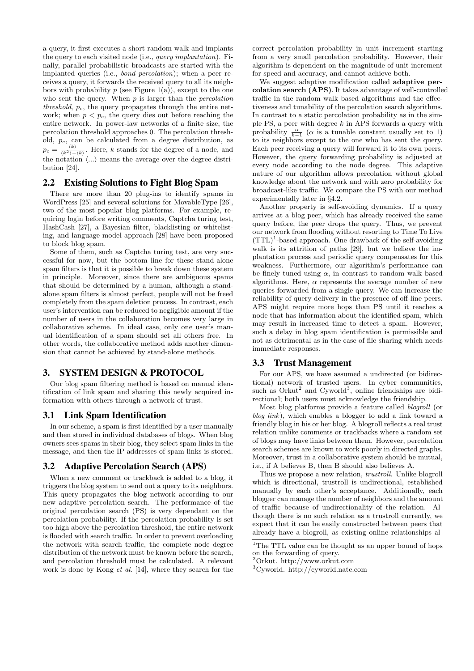a query, it first executes a short random walk and implants the query to each visited node (i.e., query implantation). Finally, parallel probabilistic broadcasts are started with the implanted queries (i.e., bond percolation); when a peer receives a query, it forwards the received query to all its neighbors with probability  $p$  (see Figure 1(a)), except to the one who sent the query. When  $p$  is larger than the *percolation* threshold,  $p_c$ , the query propagates through the entire network; when  $p < p_c$ , the query dies out before reaching the entire network. In power-law networks of a finite size, the percolation threshold approaches 0. The percolation threshold,  $p_c$ , can be calculated from a degree distribution, as  $p_c = \frac{\langle k \rangle}{\langle k^2 \rangle - \langle k \rangle}$ . Here, k stands for the degree of a node, and the notation  $\langle \ldots \rangle$  means the average over the degree distribution [24].

## **2.2 Existing Solutions to Fight Blog Spam**

There are more than 20 plug-ins to identify spams in WordPress [25] and several solutions for MovableType [26], two of the most popular blog platforms. For example, requiring login before writing comments, Captcha turing test, HashCash [27], a Bayesian filter, blacklisting or whitelisting, and language model approach [28] have been proposed to block blog spam.

Some of them, such as Captcha turing test, are very successful for now, but the bottom line for these stand-alone spam filters is that it is possible to break down these system in principle. Moreover, since there are ambiguous spams that should be determined by a human, although a standalone spam filters is almost perfect, people will not be freed completely from the spam deletion process. In contrast, each user's intervention can be reduced to negligible amount if the number of users in the collaboration becomes very large in collaborative scheme. In ideal case, only one user's manual identification of a spam should set all others free. In other words, the collaborative method adds another dimension that cannot be achieved by stand-alone methods.

# **3. SYSTEM DESIGN & PROTOCOL**

Our blog spam filtering method is based on manual identification of link spam and sharing this newly acquired information with others through a network of trust.

## **3.1 Link Spam Identification**

In our scheme, a spam is first identified by a user manually and then stored in individual databases of blogs. When blog owners sees spams in their blog, they select spam links in the message, and then the IP addresses of spam links is stored.

## **3.2 Adaptive Percolation Search (APS)**

When a new comment or trackback is added to a blog, it triggers the blog system to send out a query to its neighbors. This query propagates the blog network according to our new adaptive percolation search. The performance of the original percolation search (PS) is very dependant on the percolation probability. If the percolation probability is set too high above the percolation threshold, the entire network is flooded with search traffic. In order to prevent overloading the network with search traffic, the complete node degree distribution of the network must be known before the search, and percolation threshold must be calculated. A relevant work is done by Kong et al. [14], where they search for the

correct percolation probability in unit increment starting from a very small percolation probability. However, their algorithm is dependent on the magnitude of unit increment for speed and accuracy, and cannot achieve both.

We suggest adaptive modification called adaptive percolation search (APS). It takes advantage of well-controlled traffic in the random walk based algorithms and the effectiveness and tunability of the percolation search algorithms. In contrast to a static percolation probability as in the simple PS, a peer with degree  $k$  in APS forwards a query with probability  $\frac{\alpha}{k-1}$  ( $\alpha$  is a tunable constant usually set to 1) to its neighbors except to the one who has sent the query. Each peer receiving a query will forward it to its own peers. However, the query forwarding probability is adjusted at every node according to the node degree. This adaptive nature of our algorithm allows percolation without global knowledge about the network and with zero probability for broadcast-like traffic. We compare the PS with our method experimentally later in §4.2.

Another property is self-avoiding dynamics. If a query arrives at a blog peer, which has already received the same query before, the peer drops the query. Thus, we prevent our network from flooding without resorting to Time To Live  $(TTL)^{1}$ -based approach. One drawback of the self-avoiding walk is its attrition of paths [29], but we believe the implantation process and periodic query compensates for this weakness. Furthermore, our algorithm's performance can be finely tuned using  $\alpha$ , in contrast to random walk based algorithms. Here,  $\alpha$  represents the average number of new queries forwarded from a single query. We can increase the reliability of query delivery in the presence of off-line peers. APS might require more hops than PS until it reaches a node that has information about the identified spam, which may result in increased time to detect a spam. However, such a delay in blog spam identification is permissible and not as detrimental as in the case of file sharing which needs immediate responses.

#### **3.3 Trust Management**

For our APS, we have assumed a undirected (or bidirectional) network of trusted users. In cyber communities, such as Orkut<sup>2</sup> and Cyworld<sup>3</sup>, online friendships are bidirectional; both users must acknowledge the friendship.

Most blog platforms provide a feature called blogroll (or blog link), which enables a blogger to add a link toward a friendly blog in his or her blog. A blogroll reflects a real trust relation unlike comments or trackbacks where a random set of blogs may have links between them. However, percolation search schemes are known to work poorly in directed graphs. Moreover, trust in a collaborative system should be mutual, i.e., if A believes B, then B should also believes A.

Thus we propose a new relation, *trustroll*. Unlike blogroll which is directional, trustroll is undirectional, established manually by each other's acceptance. Additionally, each blogger can manage the number of neighbors and the amount of traffic because of undirectionality of the relation. Although there is no such relation as a trustroll currently, we expect that it can be easily constructed between peers that already have a blogroll, as existing online relationships al-

<sup>&</sup>lt;sup>1</sup>The TTL value can be thought as an upper bound of hops on the forwarding of query.

<sup>2</sup>Orkut. http://www.orkut.com

<sup>3</sup>Cyworld. http://cyworld.nate.com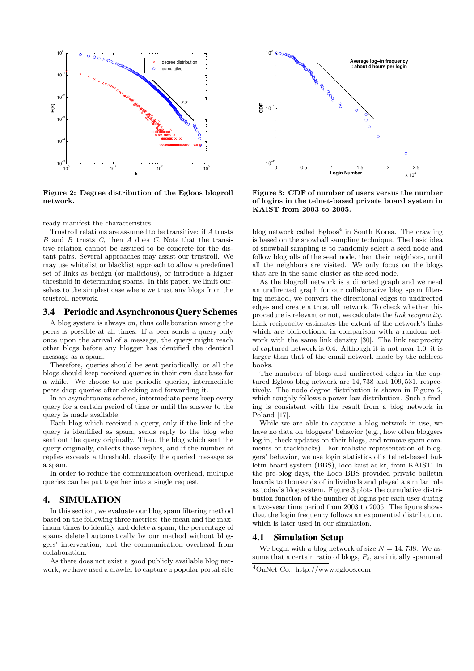

Figure 2: Degree distribution of the Egloos blogroll network.

ready manifest the characteristics.

Trustroll relations are assumed to be transitive: if A trusts  $B$  and  $B$  trusts  $C$ , then  $A$  does  $C$ . Note that the transitive relation cannot be assured to be concrete for the distant pairs. Several approaches may assist our trustroll. We may use whitelist or blacklist approach to allow a predefined set of links as benign (or malicious), or introduce a higher threshold in determining spams. In this paper, we limit ourselves to the simplest case where we trust any blogs from the trustroll network.

#### **3.4 Periodic and AsynchronousQuery Schemes**

A blog system is always on, thus collaboration among the peers is possible at all times. If a peer sends a query only once upon the arrival of a message, the query might reach other blogs before any blogger has identified the identical message as a spam.

Therefore, queries should be sent periodically, or all the blogs should keep received queries in their own database for a while. We choose to use periodic queries, intermediate peers drop queries after checking and forwarding it.

In an asynchronous scheme, intermediate peers keep every query for a certain period of time or until the answer to the query is made available.

Each blog which received a query, only if the link of the query is identified as spam, sends reply to the blog who sent out the query originally. Then, the blog which sent the query originally, collects those replies, and if the number of replies exceeds a threshold, classify the queried message as a spam.

In order to reduce the communication overhead, multiple queries can be put together into a single request.

# **4. SIMULATION**

In this section, we evaluate our blog spam filtering method based on the following three metrics: the mean and the maximum times to identify and delete a spam, the percentage of spams deleted automatically by our method without bloggers' intervention, and the communication overhead from collaboration.

As there does not exist a good publicly available blog network, we have used a crawler to capture a popular portal-site



Figure 3: CDF of number of users versus the number of logins in the telnet-based private board system in KAIST from 2003 to 2005.

blog network called Egloos<sup>4</sup> in South Korea. The crawling is based on the snowball sampling technique. The basic idea of snowball sampling is to randomly select a seed node and follow blogrolls of the seed node, then their neighbors, until all the neighbors are visited. We only focus on the blogs that are in the same cluster as the seed node.

As the blogroll network is a directed graph and we need an undirected graph for our collaborative blog spam filtering method, we convert the directional edges to undirected edges and create a trustroll network. To check whether this procedure is relevant or not, we calculate the link reciprocity. Link reciprocity estimates the extent of the network's links which are bidirectional in comparison with a random network with the same link density [30]. The link reciprocity of captured network is 0.4. Although it is not near 1.0, it is larger than that of the email network made by the address books.

The numbers of blogs and undirected edges in the captured Egloos blog network are 14, 738 and 109, 531, respectively. The node degree distribution is shown in Figure 2, which roughly follows a power-law distribution. Such a finding is consistent with the result from a blog network in Poland [17].

While we are able to capture a blog network in use, we have no data on bloggers' behavior (e.g., how often bloggers log in, check updates on their blogs, and remove spam comments or trackbacks). For realistic representation of bloggers' behavior, we use login statistics of a telnet-based bulletin board system (BBS), loco.kaist.ac.kr, from KAIST. In the pre-blog days, the Loco BBS provided private bulletin boards to thousands of individuals and played a similar role as today's blog system. Figure 3 plots the cumulative distribution function of the number of logins per each user during a two-year time period from 2003 to 2005. The figure shows that the login frequency follows an exponential distribution, which is later used in our simulation.

## **4.1 Simulation Setup**

We begin with a blog network of size  $N = 14,738$ . We assume that a certain ratio of blogs,  $P_s$ , are initially spammed

<sup>4</sup>OnNet Co., http://www.egloos.com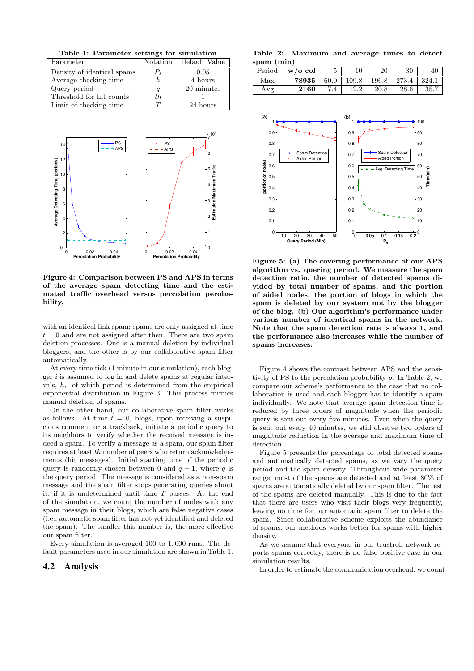Table 1: Parameter settings for simulation

| Parameter                  |         | Notation   Default Value |
|----------------------------|---------|--------------------------|
| Density of identical spams | $P_{s}$ | 0.05                     |
| Average checking time      |         | 4 hours                  |
| Query period               |         | 20 minutes               |
| Threshold for hit counts   | th.     |                          |
| Limit of checking time     | $\tau$  | 24 hours                 |



Figure 4: Comparison between PS and APS in terms of the average spam detecting time and the estimated traffic overhead versus percolation perobability.

with an identical link spam; spams are only assigned at time  $t = 0$  and are not assigned after then. There are two spam deletion processes. One is a manual deletion by individual bloggers, and the other is by our collaborative spam filter automatically.

At every time tick (1 minute in our simulation), each blogger  $i$  is assumed to log in and delete spams at regular intervals,  $h_i$ , of which period is determined from the empirical exponential distribution in Figure 3. This process mimics manual deletion of spams.

On the other hand, our collaborative spam filter works as follows. At time  $t = 0$ , blogs, upon receiving a suspicious comment or a trackback, initiate a periodic query to its neighbors to verify whether the received message is indeed a spam. To verify a message as a spam, our spam filter requires at least th number of peers who return acknowledgements (hit messages). Initial starting time of the periodic query is randomly chosen between 0 and  $q - 1$ , where q is the query period. The message is considered as a non-spam message and the spam filter stops generating queries about it, if it is undetermined until time T passes. At the end of the simulation, we count the number of nodes with any spam message in their blogs, which are false negative cases (i.e., automatic spam filter has not yet identified and deleted the spam). The smaller this number is, the more effective our spam filter.

Every simulation is averaged 100 to 1, 000 runs. The default parameters used in our simulation are shown in Table 1.

## **4.2 Analysis**

Table 2: Maximum and average times to detect spam (min)

| Period | $\parallel$ w/o col |      |       |       | 30    |      |
|--------|---------------------|------|-------|-------|-------|------|
| Max    | 78935               | 60.0 | 109.8 | 196.8 | 273.4 | 324. |
| Avg    | 2160                |      |       | 20.8  | 28.6  |      |



Figure 5: (a) The covering performance of our APS algorithm vs. quering period. We measure the spam detection ratio, the number of detected spams divided by total number of spams, and the portion of aided nodes, the portion of blogs in which the spam is deleted by our system not by the blogger of the blog. (b) Our algorithm's performance under various number of identical spams in the network. Note that the spam detection rate is always 1, and the performance also increases while the number of spams increases.

Figure 4 shows the contrast between APS and the sensitivity of PS to the percolation probability  $p$ . In Table 2, we compare our scheme's performance to the case that no collaboration is used and each blogger has to identify a spam individually. We note that average spam detection time is reduced by three orders of magnitude when the periodic query is sent out every five minutes. Even when the query is sent out every 40 minutes, we still observe two orders of magnitude reduction in the average and maximum time of detection.

Figure 5 presents the percentage of total detected spams and automatically detected spams, as we vary the query period and the spam density. Throughout wide parameter range, most of the spams are detected and at least 80% of spams are automatically deleted by our spam filter. The rest of the spams are deleted manually. This is due to the fact that there are users who visit their blogs very frequently, leaving no time for our automatic spam filter to delete the spam. Since collaborative scheme exploits the abundance of spams, our methods works better for spams with higher density.

As we assume that everyone in our trustroll network reports spams correctly, there is no false positive case in our simulation results.

In order to estimate the communication overhead, we count